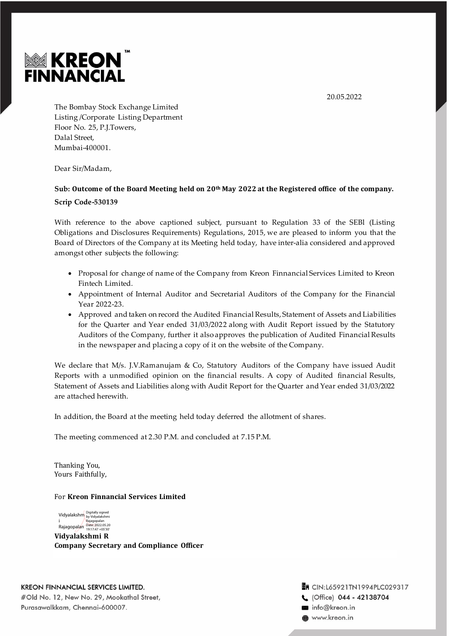



The Bombay Stock Exchange Limited Listing /Corporate Listing Department Floor No. 25, P.J.Towers, Dalal Street, Mumbai-400001.

Dear Sir/Madam,

# **Sub: Outcome of the Board Meeting held on 20th May 2022 at the Registered office of the company. Scrip Code-530139**

With reference to the above captioned subject, pursuant to Regulation 33 of the SEBl (Listing Obligations and Disclosures Requirements) Regulations, 2015, we are pleased to inform you that the Board of Directors of the Company at its Meeting held today, have inter-alia considered and approved amongst other subjects the following:

- Proposal for change of name of the Company from Kreon Finnancial Services Limited to Kreon Fintech Limited.
- Appointment of Internal Auditor and Secretarial Auditors of the Company for the Financial Year 2022-23.
- Approved and taken on record the Audited Financial Results, Statement of Assets and Liabilities for the Quarter and Year ended 31/03/2022 along with Audit Report issued by the Statutory Auditors of the Company, further it also approves the publication of Audited Financial Results in the newspaper and placing a copy of it on the website of the Company.

We declare that M/s. J.V.Ramanujam & Co, Statutory Auditors of the Company have issued Audit Reports with a unmodified opinion on the financial results. A copy of Audited financial Results, Statement of Assets and Liabilities along with Audit Report for the Quarter and Year ended 31/03/2022 are attached herewith.

In addition, the Board at the meeting held today deferred the allotment of shares.

The meeting commenced at 2.30 P.M. and concluded at 7.15 P.M.

Thanking You, Yours Faithfully,

### For **Kreon Finnancial Services Limited**

Vidyalakshm Digitally signed by Vidyalakshmi i Rajagopalan Rajagopalan Date: 2022.05.20 19:17:47 +05'30'

**Vidyalakshmi R Company Secretary and Compliance Officer**

**KREON FINNANCIAL SERVICES LIMITED.** #Old No. 12, New No. 29, Mookathal Street, Purasawalkkam, Chennai-600007.

T CIN:L65921TN1994PLC029317 C (Office) 044 - 42138704 info@kreon.in **@** www.kreon.in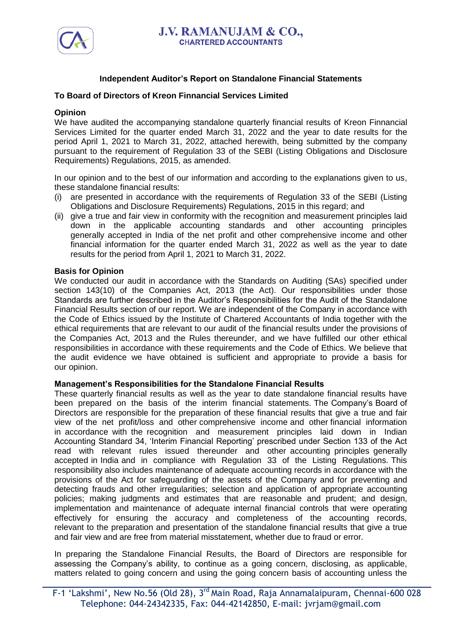

# **Independent Auditor's Report on Standalone Financial Statements**

# **To Board of Directors of Kreon Finnancial Services Limited**

# **Opinion**

We have audited the accompanying standalone quarterly financial results of Kreon Finnancial Services Limited for the quarter ended March 31, 2022 and the year to date results for the period April 1, 2021 to March 31, 2022, attached herewith, being submitted by the company pursuant to the requirement of Regulation 33 of the SEBI (Listing Obligations and Disclosure Requirements) Regulations, 2015, as amended.

In our opinion and to the best of our information and according to the explanations given to us, these standalone financial results:

- (i) are presented in accordance with the requirements of Regulation 33 of the SEBI (Listing Obligations and Disclosure Requirements) Regulations, 2015 in this regard; and
- (ii) give a true and fair view in conformity with the recognition and measurement principles laid down in the applicable accounting standards and other accounting principles generally accepted in India of the net profit and other comprehensive income and other financial information for the quarter ended March 31, 2022 as well as the year to date results for the period from April 1, 2021 to March 31, 2022.

## **Basis for Opinion**

We conducted our audit in accordance with the Standards on Auditing (SAs) specified under section 143(10) of the Companies Act, 2013 (the Act). Our responsibilities under those Standards are further described in the Auditor's Responsibilities for the Audit of the Standalone Financial Results section of our report. We are independent of the Company in accordance with the Code of Ethics issued by the Institute of Chartered Accountants of India together with the ethical requirements that are relevant to our audit of the financial results under the provisions of the Companies Act, 2013 and the Rules thereunder, and we have fulfilled our other ethical responsibilities in accordance with these requirements and the Code of Ethics. We believe that the audit evidence we have obtained is sufficient and appropriate to provide a basis for our opinion.

## **Management's Responsibilities for the Standalone Financial Results**

These quarterly financial results as well as the year to date standalone financial results have been prepared on the basis of the interim financial statements. The Company's Board of Directors are responsible for the preparation of these financial results that give a true and fair view of the net profit/loss and other comprehensive income and other financial information in accordance with the recognition and measurement principles laid down in Indian Accounting Standard 34, 'Interim Financial Reporting' prescribed under Section 133 of the Act read with relevant rules issued thereunder and other accounting principles generally accepted in India and in compliance with Regulation 33 of the Listing Regulations. This responsibility also includes maintenance of adequate accounting records in accordance with the provisions of the Act for safeguarding of the assets of the Company and for preventing and detecting frauds and other irregularities; selection and application of appropriate accounting policies; making judgments and estimates that are reasonable and prudent; and design, implementation and maintenance of adequate internal financial controls that were operating effectively for ensuring the accuracy and completeness of the accounting records, relevant to the preparation and presentation of the standalone financial results that give a true and fair view and are free from material misstatement, whether due to fraud or error.

In preparing the Standalone Financial Results, the Board of Directors are responsible for assessing the Company's ability, to continue as a going concern, disclosing, as applicable, matters related to going concern and using the going concern basis of accounting unless the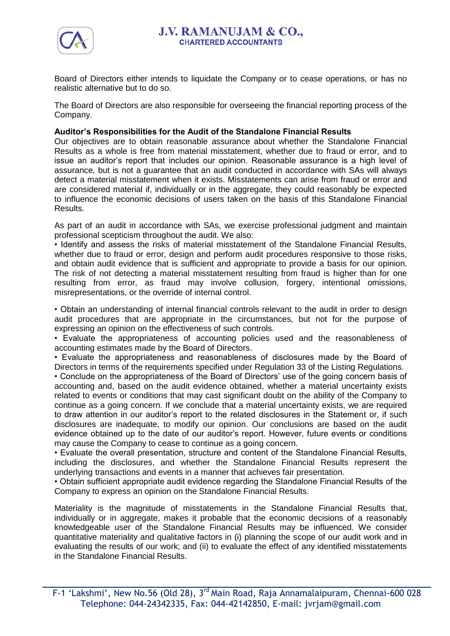

Board of Directors either intends to liquidate the Company or to cease operations, or has no realistic alternative but to do so.

The Board of Directors are also responsible for overseeing the financial reporting process of the Company.

# **Auditor's Responsibilities for the Audit of the Standalone Financial Results**

Our objectives are to obtain reasonable assurance about whether the Standalone Financial Results as a whole is free from material misstatement, whether due to fraud or error, and to issue an auditor's report that includes our opinion. Reasonable assurance is a high level of assurance, but is not a guarantee that an audit conducted in accordance with SAs will always detect a material misstatement when it exists. Misstatements can arise from fraud or error and are considered material if, individually or in the aggregate, they could reasonably be expected to influence the economic decisions of users taken on the basis of this Standalone Financial Results.

As part of an audit in accordance with SAs, we exercise professional judgment and maintain professional scepticism throughout the audit. We also:

• Identify and assess the risks of material misstatement of the Standalone Financial Results, whether due to fraud or error, design and perform audit procedures responsive to those risks, and obtain audit evidence that is sufficient and appropriate to provide a basis for our opinion. The risk of not detecting a material misstatement resulting from fraud is higher than for one resulting from error, as fraud may involve collusion, forgery, intentional omissions, misrepresentations, or the override of internal control.

• Obtain an understanding of internal financial controls relevant to the audit in order to design audit procedures that are appropriate in the circumstances, but not for the purpose of expressing an opinion on the effectiveness of such controls.

• Evaluate the appropriateness of accounting policies used and the reasonableness of accounting estimates made by the Board of Directors.

• Evaluate the appropriateness and reasonableness of disclosures made by the Board of Directors in terms of the requirements specified under Regulation 33 of the Listing Regulations.

• Conclude on the appropriateness of the Board of Directors' use of the going concern basis of accounting and, based on the audit evidence obtained, whether a material uncertainty exists related to events or conditions that may cast significant doubt on the ability of the Company to continue as a going concern. If we conclude that a material uncertainty exists, we are required to draw attention in our auditor's report to the related disclosures in the Statement or, if such disclosures are inadequate, to modify our opinion. Our conclusions are based on the audit evidence obtained up to the date of our auditor's report. However, future events or conditions may cause the Company to cease to continue as a going concern.

• Evaluate the overall presentation, structure and content of the Standalone Financial Results, including the disclosures, and whether the Standalone Financial Results represent the underlying transactions and events in a manner that achieves fair presentation.

• Obtain sufficient appropriate audit evidence regarding the Standalone Financial Results of the Company to express an opinion on the Standalone Financial Results.

Materiality is the magnitude of misstatements in the Standalone Financial Results that, individually or in aggregate, makes it probable that the economic decisions of a reasonably knowledgeable user of the Standalone Financial Results may be influenced. We consider quantitative materiality and qualitative factors in (i) planning the scope of our audit work and in evaluating the results of our work; and (ii) to evaluate the effect of any identified misstatements in the Standalone Financial Results.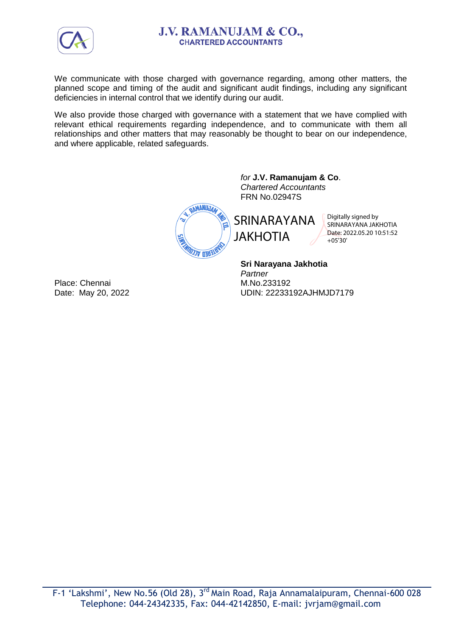

# **J.V. RAMANUJAM & CO., CHARTERED ACCOUNTANTS**

We communicate with those charged with governance regarding, among other matters, the planned scope and timing of the audit and significant audit findings, including any significant deficiencies in internal control that we identify during our audit.

We also provide those charged with governance with a statement that we have complied with relevant ethical requirements regarding independence, and to communicate with them all relationships and other matters that may reasonably be thought to bear on our independence, and where applicable, related safeguards.

> DAMANUJAA **EHEN ACCY**

*for* **J.V. Ramanujam & Co**. *Chartered Accountants* FRN No.02947S

SRINARAYANA

JAKHOTIA

Digitally signed by SRINARAYANA JAKHOTIA Date: 2022.05.20 10:51:52  $+05'30'$ 

**Sri Narayana Jakhotia** *Partner* M.No.233192 UDIN: 22233192AJHMJD7179

Place: Chennai Date: May 20, 2022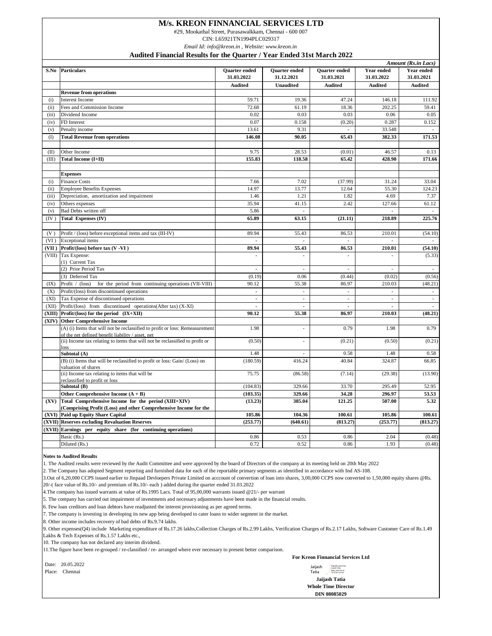### **M/s. KREON FINNANCIAL SERVICES LTD**

#29, Mookathal Street, Purasawalkkam, Chennai - 600 007

CIN: L65921TN1994PLC029317

*Email Id: [info@kreon.in](mailto:info@kreon.in) , Website: [www.kreon.in](http://www.kreon.in)*

**Audited Financial Results for the Quarter / Year Ended 31st March 2022**

|       | Amount (Rs.in Lacs)                                                                               |                                    |                                    |                                    |                          |                                 |  |
|-------|---------------------------------------------------------------------------------------------------|------------------------------------|------------------------------------|------------------------------------|--------------------------|---------------------------------|--|
| S.No  | <b>Particulars</b>                                                                                | <b>Ouarter</b> ended<br>31.03.2022 | <b>Ouarter</b> ended<br>31.12.2021 | <b>Ouarter</b> ended<br>31.03.2021 | Year ended<br>31.03.2022 | <b>Year ended</b><br>31.03.2021 |  |
|       |                                                                                                   | <b>Audited</b>                     | <b>Unaudited</b>                   | <b>Audited</b>                     | <b>Audited</b>           | <b>Audited</b>                  |  |
|       | <b>Revenue from operations</b>                                                                    |                                    |                                    |                                    |                          |                                 |  |
| (i)   | <b>Interest Income</b>                                                                            | 59.71                              | 19.36                              | 47.24                              | 146.18                   | 111.92                          |  |
| (ii)  | Fees and Commission Income                                                                        | 72.68                              | 61.19                              | 18.36                              | 202.25                   | 59.41                           |  |
| (iii) | Dividend Income                                                                                   | 0.02                               | 0.03                               | 0.03                               | 0.06                     | 0.05                            |  |
| (iv)  | FD Interest                                                                                       | 0.07                               | 0.158                              | (0.20)                             | 0.287                    | 0.152                           |  |
| (v)   | Penalty income                                                                                    | 13.61                              | 9.31                               | ÷,                                 | 33.548                   |                                 |  |
| (1)   | <b>Total Revenue from operations</b>                                                              | 146.08                             | 90.05                              | 65.43                              | 382.33                   | 171.53                          |  |
|       |                                                                                                   |                                    |                                    |                                    |                          |                                 |  |
| (II)  | Other Income                                                                                      | 9.75                               | 28.53                              | (0.01)                             | 46.57                    | 0.13                            |  |
| (III) | Total Income (I+II)                                                                               | 155.83                             | 118.58                             | 65.42                              | 428.90                   | 171.66                          |  |
|       |                                                                                                   |                                    |                                    |                                    |                          |                                 |  |
|       | <b>Expenses</b>                                                                                   |                                    |                                    |                                    |                          |                                 |  |
| (i)   | <b>Finance Costs</b>                                                                              | 7.66                               | 7.02                               | (37.99)                            | 31.24                    | 33.04                           |  |
| (ii)  | <b>Employee Benefits Expenses</b>                                                                 | 14.97                              | 13.77                              | 12.64                              | 55.30                    | 124.23                          |  |
| (iii) | Depreciation, amortization and impairment                                                         | 1.46                               | 1.21                               | 1.82                               | 4.69                     | 7.37                            |  |
| (iv)  | Others expenses                                                                                   | 35.94                              | 41.15                              | 2.42                               | 127.66                   | 61.12                           |  |
| (v)   | Bad Debts written off                                                                             | 5.86                               | ÷,                                 |                                    |                          |                                 |  |
| (IV)  | Total Expenses (IV)                                                                               | 65.89                              | 63.15                              | (21.11)                            | 218.89                   | 225.76                          |  |
|       |                                                                                                   |                                    |                                    |                                    |                          |                                 |  |
| (V)   | Profit / (loss) before exceptional items and tax (III-IV)                                         | 89.94                              | 55.43                              | 86.53                              | 210.01                   | (54.10)                         |  |
| (VI)  | <b>Exceptional</b> items                                                                          |                                    |                                    |                                    |                          |                                 |  |
| (VII) | Profit/(loss) before tax (V -VI)                                                                  | 89.94                              | 55.43                              | 86.53                              | 210.01                   | (54.10)                         |  |
|       | (VIII) Tax Expense:                                                                               | ÷,                                 | J.                                 | J.                                 | L.                       | (5.33)                          |  |
|       | (1) Current Tax                                                                                   |                                    |                                    |                                    |                          |                                 |  |
|       | (2) Prior Period Tax                                                                              |                                    | J.                                 |                                    |                          |                                 |  |
|       | (3) Deferred Tax                                                                                  | (0.19)                             | 0.06                               | (0.44)                             | (0.02)                   | (0.56)                          |  |
| (IX)  | Profit / (loss)<br>for the period from continuing operations (VII-VIII)                           | 90.12                              | 55.38                              | 86.97                              | 210.03                   | (48.21)                         |  |
| (X)   | Profit/(loss) from discontinued operations                                                        | $\mathcal{L}$                      | $\mathcal{L}_{\mathcal{A}}$        | $\mathcal{L}_{\mathcal{A}}$        | $\sim$                   | $\sim$                          |  |
| (XI)  | Tax Expense of discontinued operations                                                            | ÷,                                 | $\overline{\phantom{a}}$           | $\overline{\phantom{a}}$           | ÷.                       | $\overline{\phantom{a}}$        |  |
| (XII) | Profit/(loss) from discontinued operations(After tax) (X-XI)                                      | $\overline{\phantom{a}}$           | $\overline{\phantom{a}}$           | $\overline{\phantom{a}}$           | ×.                       | $\overline{\phantom{a}}$        |  |
|       | $(XIII)$ Profit/(loss) for the period $(X+XII)$                                                   | 90.12                              | 55.38                              | 86.97                              | 210.03                   | (48.21)                         |  |
| (XIV) | <b>Other Comprehensive Income</b>                                                                 |                                    |                                    |                                    |                          |                                 |  |
|       | (A) (i) Items that will not be reclassified to profit or loss: Remeasurement                      | 1.98                               |                                    | 0.79                               | 1.98                     | 0.79                            |  |
|       | of the net defined benefit liability / asset, net                                                 |                                    |                                    |                                    |                          |                                 |  |
|       | (ii) Income tax relating to items that will not be reclassified to profit or<br>loss              | (0.50)                             | L                                  | (0.21)                             | (0.50)                   | (0.21)                          |  |
|       | Subtotal (A)                                                                                      | 1.48                               | ÷                                  | 0.58                               | 1.48                     | 0.58                            |  |
|       | (B) (i) Items that will be reclassified to profit or loss: Gain/ (Loss) on<br>valuation of shares | (180.59)                           | 416.24                             | 40.84                              | 324.87                   | 66.85                           |  |
|       | (ii) Income tax relating to items that will be                                                    | 75.75                              | (86.58)                            | (7.14)                             | (29.38)                  | (13.90)                         |  |
|       | reclassified to profit or loss                                                                    |                                    |                                    |                                    |                          |                                 |  |
|       | Subtotal (B)                                                                                      | (104.83)                           | 329.66                             | 33.70                              | 295.49                   | 52.95                           |  |
|       | Other Comprehensive Income $(A + B)$                                                              | (103.35)                           | 329.66                             | 34.28                              | 296.97                   | 53.53                           |  |
| (XV)  | Total Comprehensive Income for the period (XIII+XIV)                                              | (13.23)                            | 385.04                             | 121.25                             | 507.00                   | 5.32                            |  |
| (XVI) | (Comprising Profit (Loss) and other Comprehensive Income for the<br>Paid up Equity Share Capital  | 105.86                             | 104.36                             | 100.61                             | 105.86                   | 100.61                          |  |
|       | (XVII) Reserves excluding Revaluation Reserves                                                    | (253.77)                           | (640.61)                           | (813.27)                           | (253.77)                 | (813.27)                        |  |
|       | (XVII) Earnings per equity share (for continuing operations)                                      |                                    |                                    |                                    |                          |                                 |  |
|       | Basic (Rs.)                                                                                       | 0.86                               | 0.53                               | 0.86                               | 2.04                     | (0.48)                          |  |
|       | Diluted (Rs.)                                                                                     | 0.72                               | 0.52                               | 0.86                               | 1.93                     | (0.48)                          |  |
|       |                                                                                                   |                                    |                                    |                                    |                          |                                 |  |

#### **Notes to Audited Results**

1. The Audited results were reviewed by the Audit Committee and were approved by the board of Directors of the company at its meeting held on 20th May 2022

2. The Company has adopted Segment reporting and furnished data for each of the reportable primary segments as identified in accordance with Ind AS-108.

3.Out of 6,20,000 CCPS issued earlier to Jinpaad Devloepers Private Limited on acccount of convertion of loan into shares, 3,00,000 CCPS now converted to 1,50,000 equity shares [@Rs.](mailto:@Rs.) 20/-( face value of Rs.10/- and premium of Rs.10/- each ) added during the quarter ended 31.03.2022

4.The company has issued warrants at value of Rs.1995 Lacs. Total of 95,00,000 warrants issued @21/- per warrant

5. The company has carried out impairment of investments and necessary adjustments have been made in the financial results.

6. Few loan creditors and loan debtors have readjusted the interest provisioning as per agreed terms.

7. The company is investing in developing its new app being developed to cater loans to wider segment in the market.

8. Other income includes recovery of bad debts of Rs.9.74 lakhs.

9. Other expenses(Q4) include Marketing expenditure of Rs.17.26 lakhs, Collection Charges of Rs.2.99 Lakhs, Verification Charges of Rs.2.17 Lakhs, Software Customer Care of Rs.1.49 Lakhs & Tech Expenses of Rs.1.57 Lakhs etc.,

10. The company has not declared any interim dividend.

11.The figure have been re-grouped / re-classified / re- arranged where ever necessary to present better comparison.

Date: 20.05.2022 Place: Chennai

**For Kreon Finnancial Services Ltd**

Jaijash Tatia Digitally signed by Jaijash Tatia Date: 2022.05.20

**Jaijash Tatia** 19:15:45 +05'30'

**Whole Time Director DIN 08085029**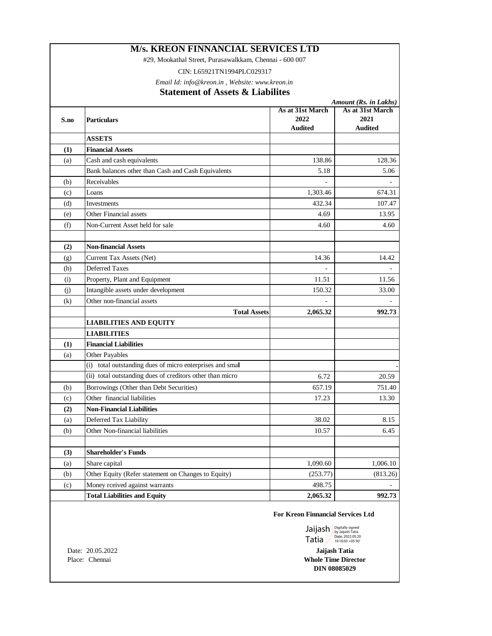#29, Mookathal Street, Purasawalkkam, Chennai - 600 007

CIN: L65921TN1994PLC029317

*Email Id: [info@kreon.in](mailto:info@kreon.in) , Website: [www.kreon.in](http://www.kreon.in)*

### **Statement of Assets & Liabilites**

|      |                                                           | Amount (Rs. in Lakhs) |                  |  |  |
|------|-----------------------------------------------------------|-----------------------|------------------|--|--|
|      |                                                           | As at 31st March      | As at 31st March |  |  |
| S.no | <b>Particulars</b>                                        | 2022                  | 2021             |  |  |
|      |                                                           | <b>Audited</b>        | <b>Audited</b>   |  |  |
|      | <b>ASSETS</b>                                             |                       |                  |  |  |
| (1)  | <b>Financial Assets</b>                                   |                       |                  |  |  |
| (a)  | Cash and cash equivalents                                 | 138.86                | 128.36           |  |  |
|      | Bank balances other than Cash and Cash Equivalents        | 5.18                  | 5.06             |  |  |
| (b)  | Receivables                                               |                       |                  |  |  |
| (c)  | Loans                                                     | 1,303.46              | 674.31           |  |  |
| (d)  | Investments                                               | 432.34                | 107.47           |  |  |
| (e)  | Other Financial assets                                    | 4.69                  | 13.95            |  |  |
| (f)  | Non-Current Asset held for sale                           | 4.60                  | 4.60             |  |  |
| (2)  | <b>Non-financial Assets</b>                               |                       |                  |  |  |
| (g)  | Current Tax Assets (Net)                                  | 14.36                 | 14.42            |  |  |
| (h)  | <b>Deferred Taxes</b>                                     |                       |                  |  |  |
| (i)  | Property, Plant and Equipment                             | 11.51                 | 11.56            |  |  |
| (i)  | Intangible assets under development                       | 150.32                | 33.00            |  |  |
| (k)  | Other non-financial assets                                |                       |                  |  |  |
|      | <b>Total Assets</b>                                       | 2,065.32              | 992.73           |  |  |
|      | <b>LIABILITIES AND EQUITY</b>                             |                       |                  |  |  |
|      | <b>LIABILITIES</b>                                        |                       |                  |  |  |
| (1)  | <b>Financial Liabilities</b>                              |                       |                  |  |  |
| (a)  | Other Payables                                            |                       |                  |  |  |
|      | (i) total outstanding dues of micro enterprises and smal  |                       |                  |  |  |
|      | (ii) total outstanding dues of creditors other than micro | 6.72                  | 20.59            |  |  |
| (b)  | Borrowings (Other than Debt Securities)                   | 657.19                | 751.40           |  |  |
| (c)  | Other financial liabilities                               | 17.23                 | 13.30            |  |  |
| (2)  | <b>Non-Financial Liabilities</b>                          |                       |                  |  |  |
| (a)  | Deferred Tax Liability                                    | 38.02                 | 8.15             |  |  |
| (b)  | Other Non-financial liabilities                           | 10.57                 | 6.45             |  |  |
| (3)  | <b>Shareholder's Funds</b>                                |                       |                  |  |  |
| (a)  | Share capital                                             | 1,090.60              | 1,006.10         |  |  |
| (b)  | Other Equity (Refer statement on Changes to Equity)       | (253.77)              | (813.26)         |  |  |
| (c)  | Money rceived against warrants                            | 498.75                |                  |  |  |
|      | <b>Total Liabilities and Equity</b>                       | 2,065.32              | 992.73           |  |  |
|      |                                                           |                       |                  |  |  |

#### **For Kreon Finnancial Services Ltd**

Jaijash Tatia Digitally signed by Jaijash Tatia Date: 2022.05.20 19:16:03 +05'30'

**Jaijash Tatia Whole Time Director**

Date: 20.05.2022 Place: Chennai

**DIN 08085029**